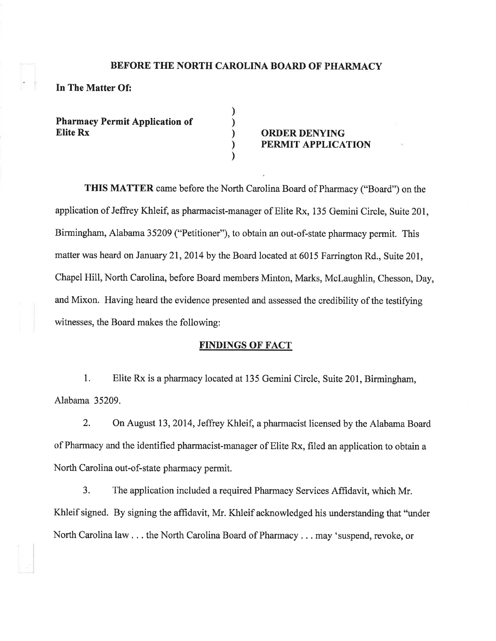#### BEFORE THE NORTH CAROLINA BOARD OF PHARMACY

) ) ) ) )

## In The Matter Of:

Pharmacy Permit Application of Etite Rx ORDER DENYING

# PERMIT APPLICATION

THIS MATTER came before the North Carolina Board of Pharmacy ("Board") on the application of Jeffrey Khleif, as pharmacist-manager of Elite Rx, 135 Gemini Circle, Suite 201, Birmingham, Alabama 35209 ("Petitioner"), to obtain an out-of-state pharmacy permit. This matter was heard on January 21, 2014 by the Board located at 6015 Farrington Rd., Suite 201, Chapel Hill, North Carolina, before Board members Minton, Marks, McLaughlin, Chesson, Day, and Mixon. Having heard the evidence presented and assessed the credibility of the testifying witnesses, the Board makes the following:

### FINDINGS OF FACT

1. Elite Rx is a pharmacy located at 135 Gemini Circle, Suite 201, Birmingham, Alabama 35209.

2. On August 13,2014, Jeffrey Khleif, a pharmacist licensed by the Alabama Board of Pharmacy and the identified pharmacist-manager of Elite Rx, filed an application to obtain a North Carolina out-of-state pharmacy permit.

3. The application included a required Pharmacy Services Affidavit, which Mr. Khleif signed. By signing the affidavit, Mr. Khleif acknowledged his understanding that "under North Carolina law . . . the North Carolina Board of Pharmacy . . . may 'suspend, revoke, or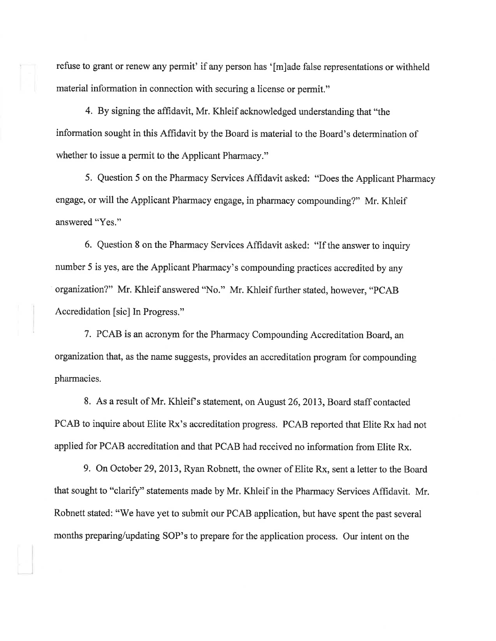refuse to grant or renew any permit' if any person has '[m]ade false representations or withheld material information in connection with securing a license or permit."

4. By signing the affidavit, Mr. Khleif acknowledged understanding that "the information sought in this Affrdavit by the Board is material to the Board's determination of whether to issue a permit to the Applicant Pharmacy."

5. Question 5 on the Pharmacy Services Affidavit asked: "Does the Applicant Pharmacy engage, or will the Applicant Pharmacy engage, in pharmacy compounding?" Mr. Khleif answered "Yes."

6. Question 8 on the Pharmacy Services Affidavit asked: "If the answer to inquiry number 5 is yes, are the Applicant Pharmacy's compounding practices accredited by any organization?" Mr. Khleif answered "No." Mr. Khleif further stated, however, "PCAB Accredidation [sic] In Progress."

7. PCAB is an acronym for the Pharmacy Compounding Accreditation Board, an organization that, as the name suggests, provides an accreditation program for compounding pharmacies.

8. As a result of Mr. Khleif's statement, on August 26, 2013, Board staff contacted PCAB to inquire about Elite Rx's accreditation progress. PCAB reported that Elite Rx had not applied for PCAB accreditation and that PCAB had received no information from Elite Rx.

9. On October 29,2013, Ryan Robnett, the owner of Elite Rx, sent a letter to the Board that sought to "clarify" statements made by Mr. Khleif in the Pharmacy Services Afhdavit. Mr. Robnett stated: "We have yet to submit our PCAB application, but have spent the past several months preparing/updating SOP's to prepare for the application process. Our intent on the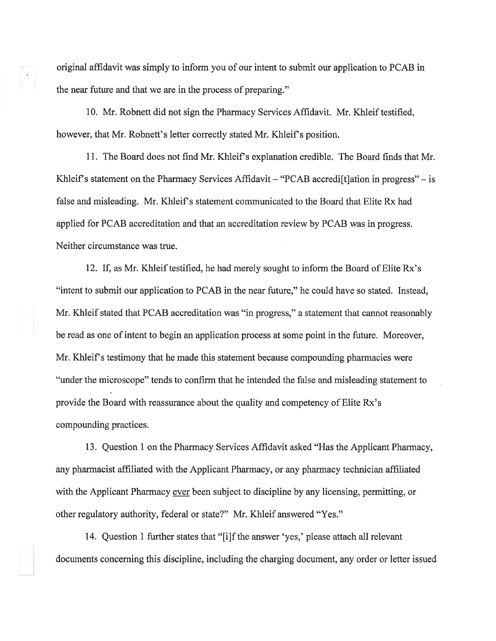original affidavit was simply to inform you of our intent to submit our application to PCAB in the near future and that we are in the process of preparing."

10. Mr. Robnett did not sign the Pharmacy Services Affidavit. Mr. Khleif testified, however, that Mr. Robnett's letter correctly stated Mr. Khleif's position.

11. The Board does not find Mr. Khleif s explanation credible. The Board finds that Mr. Khleif's statement on the Pharmacy Services Affidavit  $-$  "PCAB accredi<sup>[t]</sup> ation in progress"  $-$  is false and misleading. Mr. Khleif's statement communicated to the Board that Elite Rx had applied for PCAB accreditation and that an accreditation review by PCAB was in progress. Neither circumstance was true.

12. If, as Mr. Khleif testified, he had merely sought to inform the Board of Elite Rx's "intent to submit our application to PCAB in the near future," he could have so stated. Instead, Mr. Khleif stated that PCAB accreditation was "in progress," a statement that cannot reasonably be read as one of intent to begin an application process at some point in the future. Moreover, Mr. Khleif's testimony that he made this statement because compounding pharmacies were "under the microscope" tends to confirm that he intended the false and misleading statement to provide the Board with reassurance about the quality and competency of Elite Rx's compounding practices.

13. Question I on the Pharmacy Services Afhdavit asked "Has the Applicant Pharmacy, any pharmacist affrliated with the Applicant Pharmacy, or any pharmacy technician affrliated with the Applicant Pharmacy ever been subject to discipline by any licensing, permitting, or other regulatory authority, federal or state?" Mr. Khleif answered "Yes."

14. Question 1 further states that "[i]f the answer 'yes,' please attach all relevant documents concerning this discipline, including the charging document, any order or letter issued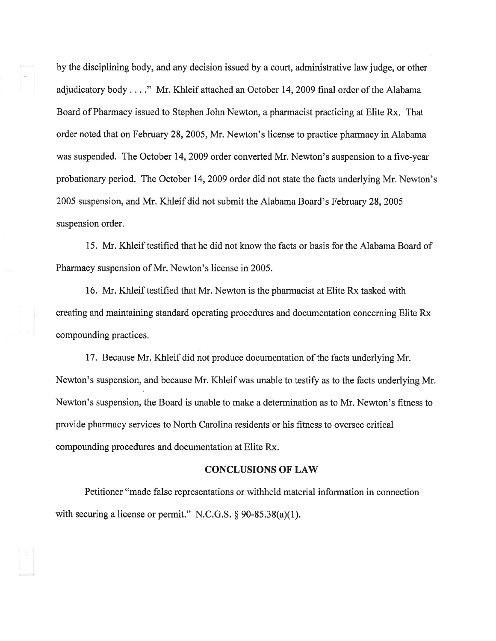by the disciplining body, and any decision issued by a court, administrative law judge, or other adjudicatory body . . . ." Mr, Khleif attached an October 14,2009 final order of the Alabama Board of Pharmacy issued to Stephen John Newton, a pharmacist practicing at Elite Rx. That order noted that on February 28,2005, Mr. Newton's license to practice pharmacy in Alabama was suspended. The October 14,2009 order converted Mr. Newton's suspension to a five-year probationary period, The October 14,2009 order did not state the facts underlying Mr. Newton's 2005 suspension, and Mr. Khleif did not submit the Alabama Board's February 28,2005 suspension order.

15. Mr. Khleif testified that he did not know the facts or basis for the Alabama Board of Pharmacy suspension of Mr. Newton's license in 2005.

16, Mr. Khleif testified that Mr. Newton is the pharmacist at Elite Rx tasked with creating and maintaining standard operating procedures and documentation concerning Elite Rx compounding practices.

17. Because Mr. Khleif did not produce documentation of the facts underlying Mr. Newton's suspension, and because Mr. Khleif was unable to testify as to the facts underlying Mr. Newton's suspension, the Board is unable to make a determination as to Mr. Newton's fitness to provide pharmacy services to North Carolina residents or his fitness to oversee critical compounding procedures and documentation at Elite Rx.

### **CONCLUSIONS OF LAW**

Petitioner "made false representations or withheld material information in connection with securing a license or permit." N.C.G.S.  $\S 90-85.38(a)(1)$ .